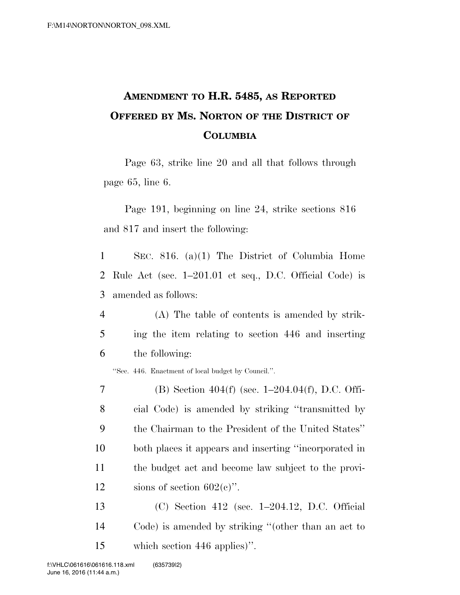## **AMENDMENT TO H.R. 5485, AS REPORTED OFFERED BY MS. NORTON OF THE DISTRICT OF COLUMBIA**

Page 63, strike line 20 and all that follows through page 65, line 6.

Page 191, beginning on line 24, strike sections 816 and 817 and insert the following:

1 SEC. 816. (a)(1) The District of Columbia Home 2 Rule Act (sec. 1–201.01 et seq., D.C. Official Code) is 3 amended as follows:

4 (A) The table of contents is amended by strik-5 ing the item relating to section 446 and inserting 6 the following:

''Sec. 446. Enactment of local budget by Council.''.

- 7 (B) Section 404(f) (sec. 1–204.04(f), D.C. Offi-8 cial Code) is amended by striking ''transmitted by 9 the Chairman to the President of the United States'' 10 both places it appears and inserting ''incorporated in 11 the budget act and become law subject to the provi-12 sions of section  $602(e)$ .
- 13 (C) Section 412 (sec. 1–204.12, D.C. Official 14 Code) is amended by striking ''(other than an act to 15 which section 446 applies)''.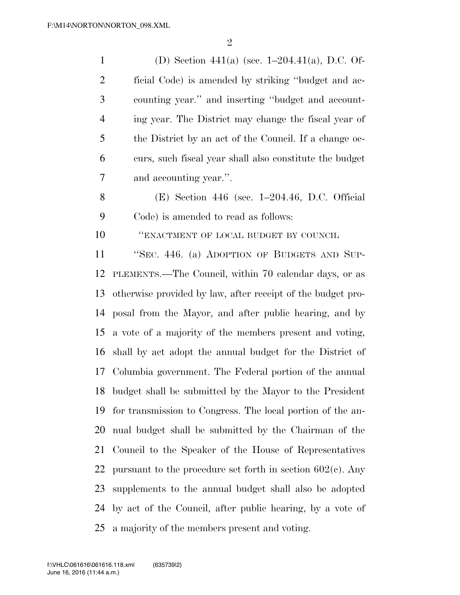(D) Section 441(a) (sec. 1–204.41(a), D.C. Of- ficial Code) is amended by striking ''budget and ac- counting year.'' and inserting ''budget and account- ing year. The District may change the fiscal year of the District by an act of the Council. If a change oc- curs, such fiscal year shall also constitute the budget and accounting year.''.

 (E) Section 446 (sec. 1–204.46, D.C. Official Code) is amended to read as follows:

''ENACTMENT OF LOCAL BUDGET BY COUNCIL

 ''SEC. 446. (a) ADOPTION OF BUDGETS AND SUP- PLEMENTS.—The Council, within 70 calendar days, or as otherwise provided by law, after receipt of the budget pro- posal from the Mayor, and after public hearing, and by a vote of a majority of the members present and voting, shall by act adopt the annual budget for the District of Columbia government. The Federal portion of the annual budget shall be submitted by the Mayor to the President for transmission to Congress. The local portion of the an- nual budget shall be submitted by the Chairman of the Council to the Speaker of the House of Representatives 22 pursuant to the procedure set forth in section  $602(c)$ . Any supplements to the annual budget shall also be adopted by act of the Council, after public hearing, by a vote of a majority of the members present and voting.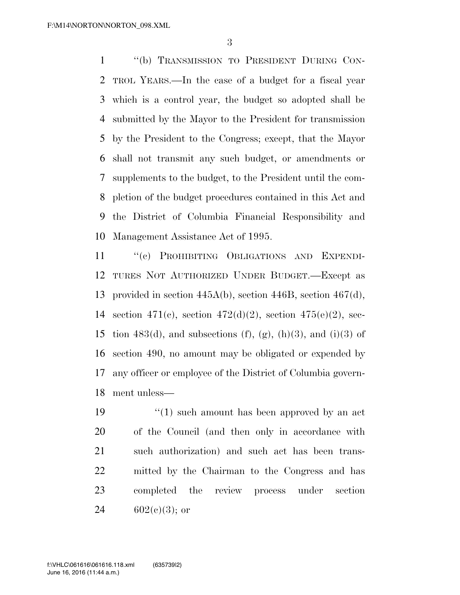''(b) TRANSMISSION TO PRESIDENT DURING CON- TROL YEARS.—In the case of a budget for a fiscal year which is a control year, the budget so adopted shall be submitted by the Mayor to the President for transmission by the President to the Congress; except, that the Mayor shall not transmit any such budget, or amendments or supplements to the budget, to the President until the com- pletion of the budget procedures contained in this Act and the District of Columbia Financial Responsibility and Management Assistance Act of 1995.

 ''(c) PROHIBITING OBLIGATIONS AND EXPENDI- TURES NOT AUTHORIZED UNDER BUDGET.—Except as provided in section 445A(b), section 446B, section 467(d), section 471(c), section 472(d)(2), section 475(e)(2), sec-15 tion 483(d), and subsections (f), (g), (h)(3), and (i)(3) of section 490, no amount may be obligated or expended by any officer or employee of the District of Columbia govern-ment unless—

 $\frac{1}{2}$  (1) such amount has been approved by an act of the Council (and then only in accordance with such authorization) and such act has been trans- mitted by the Chairman to the Congress and has completed the review process under section 24 602(e)(3); or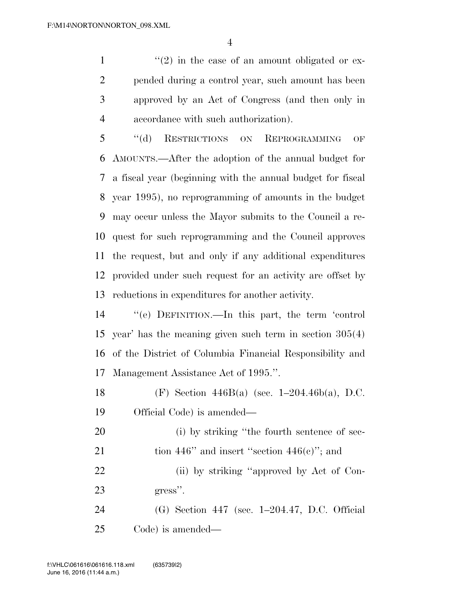$\frac{1}{2}$  in the case of an amount obligated or ex- pended during a control year, such amount has been approved by an Act of Congress (and then only in accordance with such authorization).

 ''(d) RESTRICTIONS ON REPROGRAMMING OF AMOUNTS.—After the adoption of the annual budget for a fiscal year (beginning with the annual budget for fiscal year 1995), no reprogramming of amounts in the budget may occur unless the Mayor submits to the Council a re- quest for such reprogramming and the Council approves the request, but and only if any additional expenditures provided under such request for an activity are offset by reductions in expenditures for another activity.

 ''(e) DEFINITION.—In this part, the term 'control year' has the meaning given such term in section 305(4) of the District of Columbia Financial Responsibility and Management Assistance Act of 1995.''.

 (F) Section 446B(a) (sec. 1–204.46b(a), D.C. Official Code) is amended—

20 (i) by striking "the fourth sentence of sec-21 tion 446" and insert "section  $446(e)$ "; and 22 (ii) by striking "approved by Act of Con-gress''.

 (G) Section 447 (sec. 1–204.47, D.C. Official Code) is amended—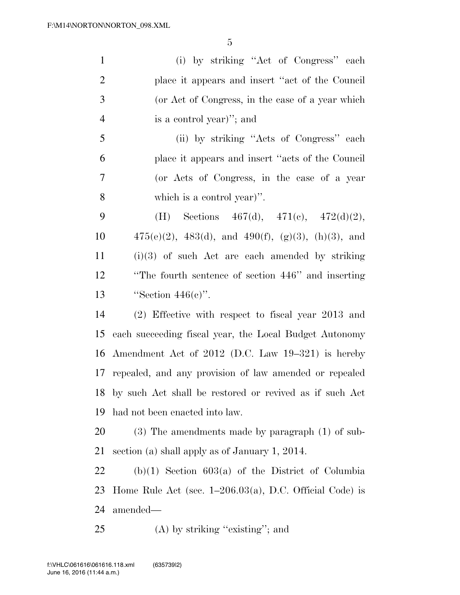(i) by striking ''Act of Congress'' each place it appears and insert ''act of the Council (or Act of Congress, in the case of a year which is a control year)''; and (ii) by striking ''Acts of Congress'' each place it appears and insert ''acts of the Council (or Acts of Congress, in the case of a year which is a control year)''. 9 (H) Sections  $467(d)$ ,  $471(e)$ ,  $472(d)(2)$ ,  $475(e)(2)$ ,  $483(d)$ , and  $490(f)$ ,  $(g)(3)$ ,  $(h)(3)$ , and (i)(3) of such Act are each amended by striking ''The fourth sentence of section 446'' and inserting ''Section 446(c)''. (2) Effective with respect to fiscal year 2013 and each succeeding fiscal year, the Local Budget Autonomy Amendment Act of 2012 (D.C. Law 19–321) is hereby repealed, and any provision of law amended or repealed by such Act shall be restored or revived as if such Act had not been enacted into law. (3) The amendments made by paragraph (1) of sub-

section (a) shall apply as of January 1, 2014.

 (b)(1) Section 603(a) of the District of Columbia Home Rule Act (sec. 1–206.03(a), D.C. Official Code) is amended—

25 (A) by striking "existing"; and